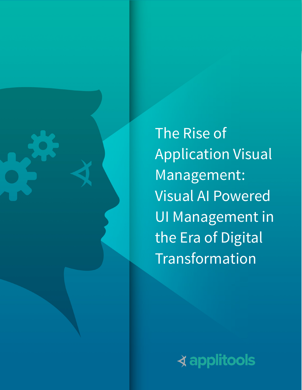

The Rise of Application Visual Management: Visual AI Powered UI Management in the Era of Digital Transformation

**∢applitools**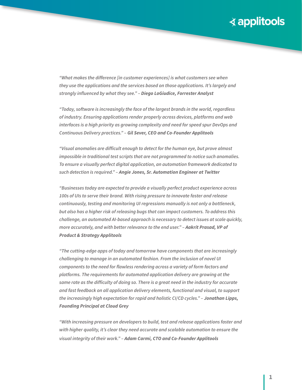*"What makes the difference [in customer experiences] is what customers see when they use the applications and the services based on those applications. It's largely and strongly influenced by what they see." – Diego LoGiudice, Forrester Analyst* 

*"Today, software is increasingly the face of the largest brands in the world, regardless of industry. Ensuring applications render properly across devices, platforms and web interfaces is a high priority as growing complexity and need for speed spur DevOps and Continuous Delivery practices." – Gil Sever, CEO and Co-Founder Applitools*

*"Visual anomalies are difficult enough to detect for the human eye, but prove almost impossible in traditional test scripts that are not programmed to notice such anomalies. To ensure a visually perfect digital application, an automation framework dedicated to such detection is required." – Angie Jones, Sr. Automation Engineer at Twitter*

*"Businesses today are expected to provide a visually perfect product experience across 100s of UIs to serve their brand. With rising pressure to innovate faster and release continuously, testing and monitoring UI regressions manually is not only a bottleneck, but also has a higher risk of releasing bugs that can impact customers. To address this challenge, an automated AI-based approach is necessary to detect issues at scale quickly, more accurately, and with better relevance to the end user.*" - **Aakrit Prasad, VP of** *Product & Strategy Applitools*

*"The cutting-edge apps of today and tomorrow have components that are increasingly challenging to manage in an automated fashion. From the inclusion of novel UI components to the need for flawless rendering across a variety of form factors and platforms. The requirements for automated application delivery are growing at the same rate as the difficulty of doing so. There is a great need in the industry for accurate and fast feedback on all application delivery elements, functional and visual, to support the increasingly high expectation for rapid and holistic CI/CD cycles." – Jonathan Lipps, Founding Principal at Cloud Grey*

*"With increasing pressure on developers to build, test and release applications faster and with higher quality, it's clear they need accurate and scalable automation to ensure the visual integrity of their work." – Adam Carmi, CTO and Co-Founder Applitools*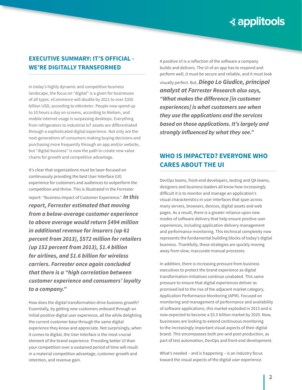## **EXECUTIVE SUMMARY: IT'S OFFICIAL - WE'RE DIGITALLY TRANSFORMED**

In today's highly dynamic and competitive business landscape, the focus on "digital" is a given for businesses of all types. eCommerce will double by 2021 to over \$350 billion USD, according to *eMarketer*. People now spend up to 10 hours a day on screens, according to Nielsen, and mobile internet usage is surpassing desktops. Everything from refrigerators to industrial IoT assets are differentiated through a sophisticated digital experience. Not only are the next-generations of consumers making buying decisions and purchasing more frequently through an app and/or website, but "digital business" is now the path to create new value chains for growth and competitive advantage.

It's clear that organizations must be laser-focused on continuously providing the best User Interface (UI) experience for customers and audiences to outperform the competition and thrive. This is illustrated in the Forrester report: "Business Impact of Customer Experience." *In this report, Forrester estimated that moving from a below-average customer experience to above average would return \$494 million in additional revenue for insurers (up 61 percent from 2013), \$572 million for retailers (up 152 percent from 2013), \$1.4 billion for airlines, and \$1.6 billion for wireless carriers. Forrester once again concluded that there is a "high correlation between customer experience and consumers' loyalty to a company."* 

How does the digital transformation drive business growth? Essentially, by getting new customers onboard through an initial positive digital user experience, all the while delighting the current customer base through the same digital experience they know and appreciate. Not surprisingly, when it comes to digital, the User Interface is the most crucial element of the brand experience. Providing better UI than your competition over a sustained period of time will result in a material competitive advantage, customer growth and retention, and revenue gain.

A positive UI is a reflection of the software a company builds and delivers. The UI of an app has to respond and perform well, it must be secure and reliable, and it must look visually perfect. But, *Diego Lo Giudice, principal analyst at Forrester Research also says, "What makes the difference [in customer experiences] is what customers see when they use the applications and the services based on those applications. It's largely and strongly influenced by what they see."*

# **WHO IS IMPACTED? EVERYONE WHO CARES ABOUT THE UI**

DevOps teams, front-end developers, testing and QA teams, designers and business leaders all know how increasingly difficult it is to monitor and manage an application's visual characteristics in user interfaces that span across many servers, browsers, devices, digital assets and web pages. As a result, there is a greater reliance upon new modes of software delivery that help ensure positive user experiences, including application delivery management and performance monitoring. This technical complexity now represents the fundamental building blocks of today's digital business. Thankfully, these strategies are quickly moving away from slow, inaccurate manual processes.

In addition, there is increasing pressure from business executives to protect the brand experience as digital transformation initiatives continue unabated. This same pressure to ensure that digital experiences deliver as promised led to the rise of the adjacent market category, Application Performance Monitoring (APM). Focused on monitoring and management of performance and availability of software applications, this market exploded in 2013 and is now expected to become a \$5.5 billion market by 2020. Now, businesses are looking to extend continuous monitoring to the increasingly important visual aspects of their digital brand. This encompasses both pre-and post-production, as part of test automation, DevOps and front-end development.

What's needed – and is happening – is an industry focus toward the visual aspects of the digital user experience.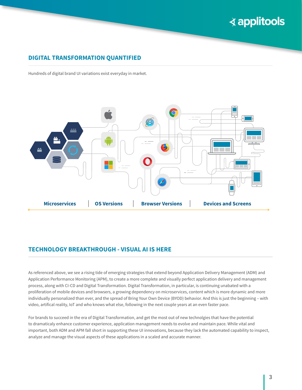## **DIGITAL TRANSFORMATION QUANTIFIED**

Hundreds of digital brand UI variations exist everyday in market.



## **TECHNOLOGY BREAKTHROUGH - VISUAL AI IS HERE**

As referenced above, we see a rising tide of emerging strategies that extend beyond Application Delivery Management (ADM) and Application Performance Monitoring (APM), to create a more complete and visually perfect application delivery and management process, along with CI-CD and Digital Transformation. Digital Transformation, in particular, is continuing unabated with a proliferation of mobile devices and browsers, a growing dependency on microservices, content which is more dynamic and more individually personalized than ever, and the spread of Bring Your Own Device (BYOD) behavior. And this is just the beginning – with video, artifical reality, IoT and who knows what else, following in the next couple years at an even faster pace.

For brands to succeed in the era of Digital Transformation, and get the most out of new technolgies that have the potential to dramaticaly enhance customer experience, application management needs to evolve and maintain pace. While vital and important, both ADM and APM fall short in supporting these UI innovations, because they lack the automated capability to inspect, analyze and manage the visual aspects of these applications in a scaled and accurate manner.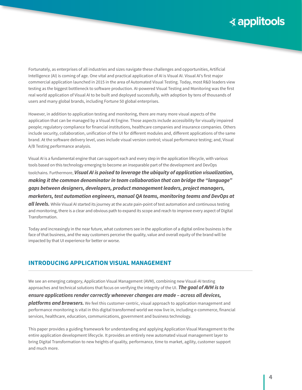Fortunately, as enterprises of all industries and sizes navigate these challenges and opportunities, Artificial Intelligence (AI) is coming of age. One vital and practical application of AI is Visual AI. Visual AI's first major commercial application launched in 2015 in the area of Automated Visual Testing. Today, most R&D leaders view testing as the biggest bottleneck to software production. AI-powered Visual Testing and Monitoring was the first real world application of Visual AI to be built and deployed successfully, with adoption by tens of thousands of users and many global brands, including Fortune 50 global enterprises.

However, in addition to application testing and monitoring, there are many more visual aspects of the application that can be managed by a Visual AI Engine. Those aspects include accessibility for visually impaired people; regulatory compliance for financial institutions, healthcare companies and insurance companies. Others include security, collaboration, unification of the UI for different modules and, different applications of the same brand. At the software delivery level, uses include visual version control; visual performance testing; and, Visual A/B Testing performance analysis.

Visual AI is a fundamental engine that can support each and every step in the application lifecycle, with various tools based on this technology emerging to become an inseparable part of the development and DevOps toolchains. Furthermore, *Visual AI is poised to leverage the ubiquity of application visualization, making it the common denominator in team collaboration that can bridge the "language" gaps between designers, developers, product management leaders, project managers, marketers, test automation engineers, manual QA teams, monitoring teams and DevOps at all levels.* While Visual AI started its journey at the acute pain-point of test automation and continuous testing

and monitoring, there is a clear and obvious path to expand its scope and reach to improve every aspect of Digital Transformation.

Today and increasingly in the near future, what customers see in the application of a digital online business is the face of that business, and the way customers perceive the quality, value and overall equity of the brand will be impacted by that UI experience for better or worse.

## **INTRODUCING APPLICATION VISUAL MANAGEMENT**

We see an emerging category, Application Visual Management (AVM), combining new Visual-AI testing approaches and technical solutions that focus on verifying the integrity of the UI. *The goal of AVM is to ensure applications render correctly whenever changes are made – across all devices,* 

*platforms and browsers.* We feel this customer-centric, visual approach to application management and performance monitoring is vital in this digital transformed world we now live in, including e-commerce, financial services, healthcare, education, communications, government and business technology.

This paper provides a guiding framework for understanding and applying Application Visual Management to the entire application development lifecycle. It provides an entirely new automated visual management layer to bring Digital Transformation to new heights of quality, performance, time to market, agility, customer support and much more.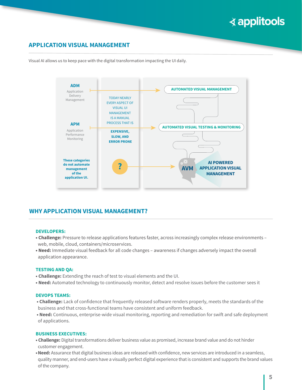## **APPLICATION VISUAL MANAGEMENT**

Visual AI allows us to keep pace with the digital transformation impacting the UI daily.



## **WHY APPLICATION VISUAL MANAGEMENT?**

#### **DEVELOPERS:**

- **Challenge:** Pressure to release applications features faster, across increasingly complex release environments web, mobile, cloud, containers/microservices.
- **Need:** Immediate visual feedback for all code changes awareness if changes adversely impact the overall application appearance.

#### **TESTING AND QA:**

- **Challenge:** Extending the reach of test to visual elements and the UI.
- **Need:** Automated technology to continuously monitor, detect and resolve issues before the customer sees it

### **DEVOPS TEAMS:**

- **Challenge:** Lack of confidence that frequently released software renders properly, meets the standards of the business and that cross-functional teams have consistent and uniform feedback.
- **Need:** Continuous, enterprise-wide visual monitoring, reporting and remediation for swift and safe deployment of applications.

### **BUSINESS EXECUTIVES:**

- **Challenge:** Digital transformations deliver business value as promised, increase brand value and do not hinder customer engagement.
- **•Need:** Assurance that digital business ideas are released with confidence, new services are introduced in a seamless, quality manner, and end-users have a visually perfect digital experience that is consistent and supports the brand values of the company.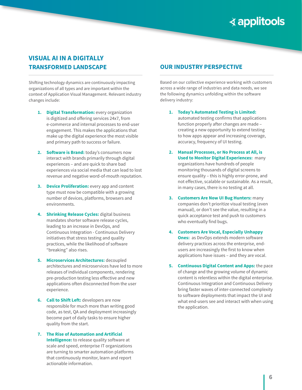## **VISUAL AI IN A DIGITALLY TRANSFORMED LANDSCAPE**

Shifting technology dynamics are continuously impacting organizations of all types and are important within the context of Application Visual Management. Relevant industry changes include:

- **1. Digital Transformation:** every organization is digitized and offering services 24x7, from e-commerce and internal processes to end-user engagement. This makes the applications that make up the digital experience the most visible and primary path to success or failure.
- **2. Software is Brand:** today's consumers now interact with brands primarily through digital experiences – and are quick to share bad experiences via social media that can lead to lost revenue and negative word-of-mouth reputation.
- **3. Device Proliferation:** every app and content type must now be compatible with a growing number of devices, platforms, browsers and environments.
- **4. Shrinking Release Cycles:** digital business mandates shorter software release cycles, leading to an increase in DevOps, and Continuous Integration - Continuous Delivery initiatives that stress testing and quality practices, while the likelihood of software "breaking" also rises.
- **5. Microservices Architectures:** decoupled architectures and microservices have led to more releases of individual components, rendering pre-production testing less effective and new applications often disconnected from the user experience.
- **6. Call to Shift Left:** developers are now responsible for much more than writing good code, as test, QA and deployment increasingly become part of daily tasks to ensure higher quality from the start.
- **7. The Rise of Automation and Artificial Intelligence:** to release quality software at scale and speed, enterprise IT organizations are turning to smarter automation platforms that continuously monitor, learn and report actionable information.

## **OUR INDUSTRY PERSPECTIVE**

Based on our collective experience working with customers across a wide range of industries and data needs, we see the following dynamics unfolding within the software delivery industry:

**1. Today's Automated Testing is Limited:** automated testing confirms that applications function properly after changes are made – creating a new opportunity to extend testing to how apps appear and increasing coverage, accuracy, frequency of UI testing.

- **2. Manual Processes, or No Process at All, is Used to Monitor Digital Experiences:** many organizations have hundreds of people monitoring thousands of digital screens to ensure quality – this is highly error-prone, and not effective, scalable or sustainable. As a result, in many cases, there is no testing at all.
- **3. Customers Are Now UI Bug Hunters:** many companies don't prioritize visual testing (even manual), or don't see the value, resulting in a quick acceptance test and push to customers who eventually find bugs.
- **4. Customers Are Vocal, Especially Unhappy Ones:** as DevOps extends modern software delivery practices across the enterprise, endusers are increasingly the first to know when applications have issues – and they are vocal.
- **5. Continuous Digital Content and Apps:** the pace of change and the growing volume of dynamic content is relentless within the digital enterprise. Continuous Integration and Continuous Delivery bring faster waves of inter-connected complexity to software deployments that impact the UI and what end-users see and interact with when using the application.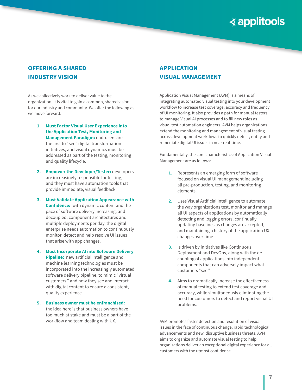## **OFFERING A SHARED INDUSTRY VISION**

As we collectively work to deliver value to the organization, it is vital to gain a common, shared vision for our industry and community. We offer the following as we move forward:

- **1. Must Factor Visual User Experience into the Application Test, Monitoring and Management Paradigm: end-users are** the first to "see" digital transformation initiatives, and visual dynamics must be addressed as part of the testing, monitoring and quality lifecycle.
- **2. Empower the Developer/Tester:** developers are increasingly responsible for testing, and they must have automation tools that provide immediate, visual feedback.
- **3. Must Validate Application Appearance with Confidence:** with dynamic content and the pace of software delivery increasing; and decoupled, component architectures and multiple deployments per day, the digital enterprise needs automation to continuously monitor, detect and help resolve UI issues that arise with app changes.
- **4. Must Incorporate AI into Software Delivery Pipeline:** new artificial intelligence and machine learning technologies must be incorporated into the increasingly automated software delivery pipeline, to mimic "virtual customers," and how they see and interact with digital content to ensure a consistent, quality experience.
- **5. Business owner must be enfranchised:**  the idea here is that business owners have too much at stake and must be a part of the workflow and team dealing with UX.

## **APPLICATION VISUAL MANAGEMENT**

Application Visual Management (AVM) is a means of integrating automated visual testing into your development workflow to increase test coverage, accuracy and frequency of UI monitoring. It also provides a path for manual testers to manage Visual AI processes and to fill new roles as visual test automation engineers. AVM helps organizations extend the monitoring and management of visual testing across development workflows to quickly detect, notify and remediate digital UI issues in near real-time.

Fundamentally, the core characteristics of Application Visual Management are as follows:

- **1.** Represents an emerging form of software focused on visual UI management including all pre-production, testing, and monitoring elements.
- **2.** Uses Visual Artificial Intelligence to automate the way organizations test, monitor and manage all UI aspects of applications by automatically detecting and logging errors, continually updating baselines as changes are accepted, and maintaining a history of the application UX changes over time.
- **3.** Is driven by initiatives like Continuous Deployment and DevOps, along with the decoupling of applications into independent components that can adversely impact what customers "see."
- **4.** Aims to dramatically increase the effectiveness of manual testing to extend test coverage and accuracy, while simultaneously eliminating the need for customers to detect and report visual UI problems.

AVM promotes faster detection and resolution of visual issues in the face of continuous change, rapid technological advancements and new, disruptive business threats. AVM aims to organize and automate visual testing to help organizations deliver an exceptional digital experience for all customers with the utmost confidence.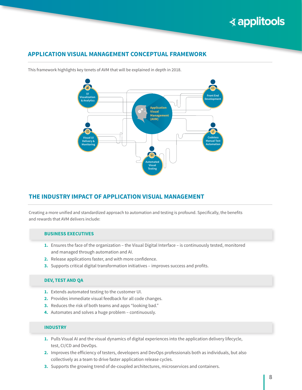## **APPLICATION VISUAL MANAGEMENT CONCEPTUAL FRAMEWORK**





## **THE INDUSTRY IMPACT OF APPLICATION VISUAL MANAGEMENT**

Creating a more unified and standardized approach to automation and testing is profound. Specifically, the benefits and rewards that AVM delivers include:

### **BUSINESS EXECUTIVES**

- **1.** Ensures the face of the organization the Visual Digital Interface is continuously tested, monitored and managed through automation and AI.
- **2.** Release applications faster, and with more confidence.
- **3.** Supports critical digital transformation initiatives improves success and profits.

### **DEV, TEST AND QA**

- **1.** Extends automated testing to the customer UI.
- **2.** Provides immediate visual feedback for all code changes.
- **3.** Reduces the risk of both teams and apps "looking bad."
- **4.** Automates and solves a huge problem continuously.

### **INDUSTRY**

- **1.** Pulls Visual AI and the visual dynamics of digital experiences into the application delivery lifecycle, test, CI/CD and DevOps.
- **2.** Improves the efficiency of testers, developers and DevOps professionals both as individuals, but also collectively as a team to drive faster application release cycles.
- **3.** Supports the growing trend of de-coupled architectures, microservices and containers.